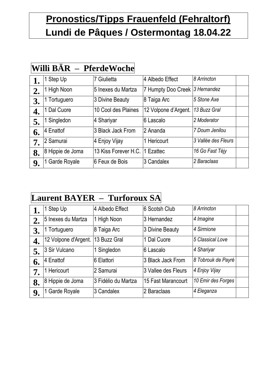## **Pronostics/Tipps Frauenfeld (Fehraltorf) Lundi de Pâques / Ostermontag 18.04.22**

|    | Willi BAR – PferdeWoche |                      |                                |                     |  |
|----|-------------------------|----------------------|--------------------------------|---------------------|--|
|    | 1 Step Up               | 7 Giulietta          | 4 Albedo Effect                | 8 Arrincton         |  |
| 2. | 1 High Noon             | 5 Inexes du Martza   | 7 Humpty Doo Creek 3 Hernandez |                     |  |
| 3. | Tortuguero              | 3 Divine Beauty      | 8 Taiga Arc                    | 5 Stone Axe         |  |
| 4. | 1 Dal Cuore             | 10 Cool des Plaines  | 12 Volpone d'Argent.           | 13 Buzz Gral        |  |
| 5. | Singledon               | 4 Shariyar           | 6 Lascalo                      | 2 Moderator         |  |
| 6. | <sup>14</sup> Enattof   | 3 Black Jack From    | l2 Ananda                      | 7 Doum Jenilou      |  |
| 7. | 12 Samurai              | 4 Enjoy Vijay        | 1 Hericourt                    | 3 Vallée des Fleurs |  |
| 8. | 8 Hippie de Joma        | 13 Kiss Forever H.C. | Ezattec                        | 16 Go Fast Téjy     |  |
| 9. | Garde Royale            | 6 Feux de Bois       | 3 Candalex                     | 2 Baraclaas         |  |

#### **Laurent BAYER – Turforoux SA**

|    | 1 Step Up            | 4 Albedo Effect     | 6 Scotsh Club       | 8 Arrincton        |  |
|----|----------------------|---------------------|---------------------|--------------------|--|
| 2. | 5 Inexes du Martza   | 1 High Noon         | 3 Hernandez         | 4 Imagine          |  |
| 3. | 1 Tortuguero         | 8 Taiga Arc         | 3 Divine Beauty     | 4 Sirmione         |  |
| 4. | 12 Volpone d'Argent. | 13 Buzz Gral        | 1 Dal Cuore         | 5 Classical Love   |  |
| 5. | 3 Sir Vulcano        | 1 Singledon         | 6 Lascalo           | 4 Shariyar         |  |
| 6. | 4 Enattof            | 6 Elattori          | 3 Black Jack From   | 8 Tobrouk de Payré |  |
| 7. | 1 Hericourt          | 2 Samurai           | 3 Vallee des Fleurs | 4 Enjoy Vijay      |  |
| 8. | 8 Hippie de Joma     | 3 Fidélio du Martza | 15 Fast Marancourt  | 10 Emir des Forges |  |
| 9. | Garde Royale         | 3 Candalex          | 2 Baraclaas         | 4 Eleganza         |  |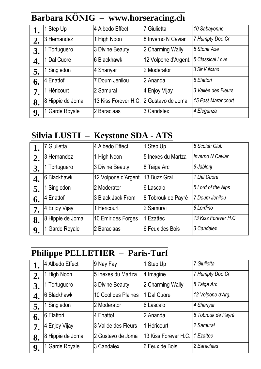#### **Barbara KÖNIG – www.horseracing.ch**

| 1. | Step Up          | 4 Albedo Effect      | 7 Giulietta          | 10 Sabayonne        |  |
|----|------------------|----------------------|----------------------|---------------------|--|
| 2. | 3 Hernandez      | 1 High Noon          | 8 Inverno N Caviar   | 7 Humpty Doo Cr.    |  |
| 3. | Tortuguero       | 3 Divine Beauty      | 2 Charming Wally     | 5 Stone Axe         |  |
| 4. | Dal Cuore        | 6 Blackhawk          | 12 Volpone d'Argent. | 5 Classical Love    |  |
| 5. | Singledon        | 4 Shariyar           | 2 Moderator          | 3 Sir Vulcano       |  |
| 6. | 4 Enattof        | 7 Doum Jenilou       | 2 Ananda             | 6 Elattori          |  |
| 7. | 1 Héricourt      | 2 Samurai            | 4 Enjoy Vijay        | 3 Vallée des Fleurs |  |
| 8. | 8 Hippie de Joma | 13 Kiss Forever H.C. | 2 Gustavo de Joma    | 15 Fast Marancourt  |  |
| 9. | Garde Royale     | 2 Baraclaas          | 3 Candalex           | 4 Eleganza          |  |

## **Silvia LUSTI – Keystone SDA - ATS**

|    | 7 Giulietta      | 4 Albedo Effect      | 1 Step Up          | 6 Scotsh Club           |
|----|------------------|----------------------|--------------------|-------------------------|
| 2. | 3 Hernandez      | 1 High Noon          | 5 Inexes du Martza | <b>Inverno N Caviar</b> |
| 3. | Tortuguero       | 3 Divine Beauty      | 8 Taiga Arc        | 6 Jablonj               |
| 4. | 6 Blackhawk      | 12 Volpone d'Argent. | 13 Buzz Gral       | 1 Dal Cuore             |
| 5. | Singledon        | 2 Moderator          | 6 Lascalo          | 5 Lord of the Alps      |
| 6. | 4 Enattof        | 3 Black Jack From    | 8 Tobrouk de Payré | 7 Doum Jenilou          |
| 7. | 4 Enjoy Vijay    | 1 Hericourt          | 2 Samurai          | 6 Lordino               |
| 8. | 8 Hippie de Joma | 10 Emir des Forges   | 1 Ezattec          | 13 Kiss Forever H.C     |
| 9. | Garde Royale     | 2 Baraclaas          | 6 Feux des Bois    | 3 Candalex              |

#### **Philippe PELLETIER – Paris-Turf**

|    | 4 Albedo Effect  | 9 Nay Fay           | 1 Step Up            | 7 Giulietta        |
|----|------------------|---------------------|----------------------|--------------------|
| 2. | 1 High Noon      | 5 Inexes du Martza  | 4 Imagine            | 7 Humpty Doo Cr.   |
| 3. | Tortuguero       | 3 Divine Beauty     | 2 Charming Wally     | 8 Taiga Arc        |
| 4. | 6 Blackhawk      | 10 Cool des Plaines | 1 Dal Cuore          | 12 Volpone d'Arg.  |
| 5. | 1 Singledon      | 2 Moderator         | 6 Lascalo            | 4 Shariyar         |
| 6. | 6 Elattori       | 4 Enattof           | 2 Ananda             | 8 Tobrouk de Payré |
| 7. | 4 Enjoy Vijay    | 3 Vallée des Fleurs | 1 Héricourt          | 2 Samurai          |
| 8. | 8 Hippie de Joma | 2 Gustavo de Joma   | 13 Kiss Forever H.C. | 1 Ezattec          |
| 9. | 1 Garde Royale   | 3 Candalex          | 6 Feux de Bois       | 2 Baraclaas        |